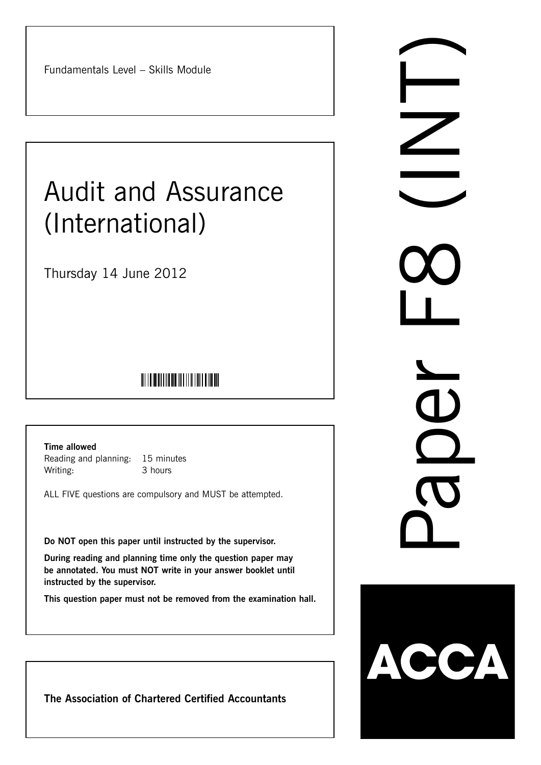Fundamentals Level – Skills Module

# Audit and Assurance (International)

Thursday 14 June 2012

# 

**Time allowed**

Reading and planning: 15 minutes Writing: 3 hours

ALL FIVE questions are compulsory and MUST be attempted.

**Do NOT open this paper until instructed by the supervisor.**

**During reading and planning time only the question paper may be annotated. You must NOT write in your answer booklet until instructed by the supervisor.**

**This question paper must not be removed from the examination hall.**

**The Association of Chartered Certified Accountants**

Naper Co 1'  $\bigcap$ 

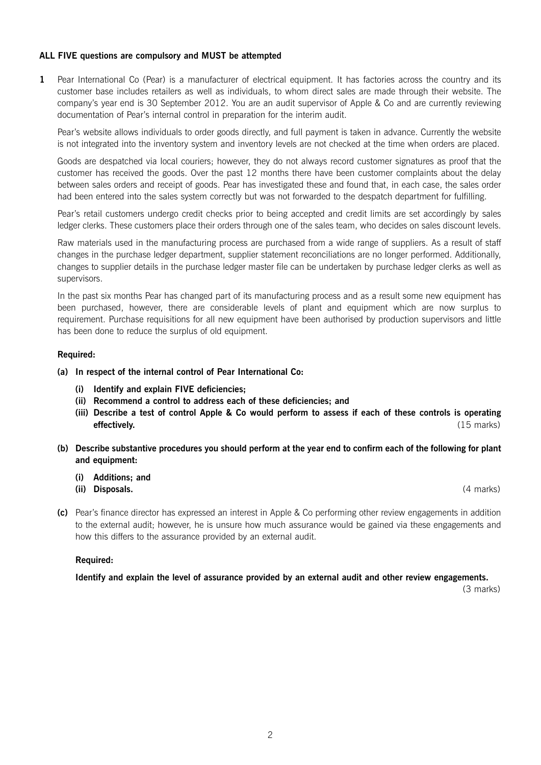# **ALL FIVE questions are compulsory and MUST be attempted**

**1** Pear International Co (Pear) is a manufacturer of electrical equipment. It has factories across the country and its customer base includes retailers as well as individuals, to whom direct sales are made through their website. The company's year end is 30 September 2012. You are an audit supervisor of Apple & Co and are currently reviewing documentation of Pear's internal control in preparation for the interim audit.

Pear's website allows individuals to order goods directly, and full payment is taken in advance. Currently the website is not integrated into the inventory system and inventory levels are not checked at the time when orders are placed.

Goods are despatched via local couriers; however, they do not always record customer signatures as proof that the customer has received the goods. Over the past 12 months there have been customer complaints about the delay between sales orders and receipt of goods. Pear has investigated these and found that, in each case, the sales order had been entered into the sales system correctly but was not forwarded to the despatch department for fulfilling.

Pear's retail customers undergo credit checks prior to being accepted and credit limits are set accordingly by sales ledger clerks. These customers place their orders through one of the sales team, who decides on sales discount levels.

Raw materials used in the manufacturing process are purchased from a wide range of suppliers. As a result of staff changes in the purchase ledger department, supplier statement reconciliations are no longer performed. Additionally, changes to supplier details in the purchase ledger master file can be undertaken by purchase ledger clerks as well as supervisors.

In the past six months Pear has changed part of its manufacturing process and as a result some new equipment has been purchased, however, there are considerable levels of plant and equipment which are now surplus to requirement. Purchase requisitions for all new equipment have been authorised by production supervisors and little has been done to reduce the surplus of old equipment.

#### **Required:**

- **(a) In respect of the internal control of Pear International Co:** 
	- **(i) Identify and explain FIVE deficiencies;**
	- **(ii) Recommend a control to address each of these deficiencies; and**
	- **(iii) Describe a test of control Apple & Co would perform to assess if each of these controls is operating effectively.** (15 marks)
- **(b) Describe substantive procedures you should perform at the year end to confirm each of the following for plant and equipment:** 
	- **(i) Additions; and**
	- **(ii) Disposals.** (4 marks)

**(c)** Pear's finance director has expressed an interest in Apple & Co performing other review engagements in addition to the external audit; however, he is unsure how much assurance would be gained via these engagements and how this differs to the assurance provided by an external audit.

#### **Required:**

**Identify and explain the level of assurance provided by an external audit and other review engagements.**

(3 marks)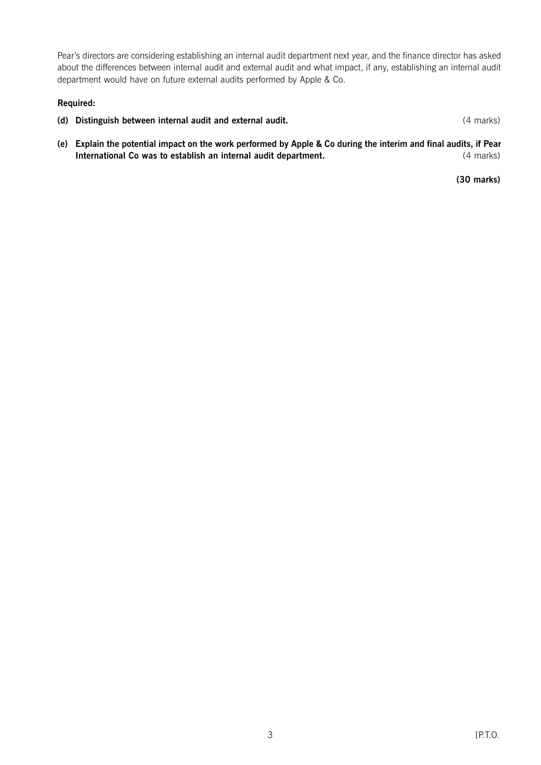Pear's directors are considering establishing an internal audit department next year, and the finance director has asked about the differences between internal audit and external audit and what impact, if any, establishing an internal audit department would have on future external audits performed by Apple & Co.

# **Required:**

**(d) Distinguish between internal audit and external audit.** (4 marks)

**(e) Explain the potential impact on the work performed by Apple & Co during the interim and final audits, if Pear International Co was to establish an internal audit department.** (4 marks)

**(30 marks)**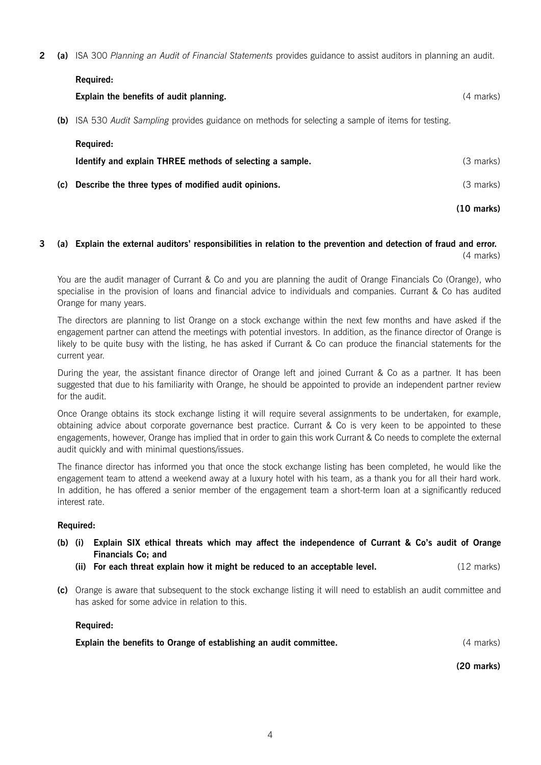**2 (a)** ISA 300 *Planning an Audit of Financial Statements* provides guidance to assist auditors in planning an audit.

|     | Required:                                                                                        |           |
|-----|--------------------------------------------------------------------------------------------------|-----------|
|     | Explain the benefits of audit planning.                                                          | (4 marks) |
| (b) | ISA 530 Audit Sampling provides guidance on methods for selecting a sample of items for testing. |           |
|     | Required:                                                                                        |           |
|     | Identify and explain THREE methods of selecting a sample.                                        | (3 marks) |
| (C) | Describe the three types of modified audit opinions.                                             | (3 marks) |
|     |                                                                                                  |           |

# **(10 marks)**

#### **3 (a) Explain the external auditors' responsibilities in relation to the prevention and detection of fraud and error.** (4 marks)

You are the audit manager of Currant & Co and you are planning the audit of Orange Financials Co (Orange), who specialise in the provision of loans and financial advice to individuals and companies. Currant & Co has audited Orange for many years.

The directors are planning to list Orange on a stock exchange within the next few months and have asked if the engagement partner can attend the meetings with potential investors. In addition, as the finance director of Orange is likely to be quite busy with the listing, he has asked if Currant & Co can produce the financial statements for the current year.

During the year, the assistant finance director of Orange left and joined Currant & Co as a partner. It has been suggested that due to his familiarity with Orange, he should be appointed to provide an independent partner review for the audit.

Once Orange obtains its stock exchange listing it will require several assignments to be undertaken, for example, obtaining advice about corporate governance best practice. Currant & Co is very keen to be appointed to these engagements, however, Orange has implied that in order to gain this work Currant & Co needs to complete the external audit quickly and with minimal questions/issues.

The finance director has informed you that once the stock exchange listing has been completed, he would like the engagement team to attend a weekend away at a luxury hotel with his team, as a thank you for all their hard work. In addition, he has offered a senior member of the engagement team a short-term loan at a significantly reduced interest rate.

# **Required:**

- **(b) (i) Explain SIX ethical threats which may affect the independence of Currant & Co's audit of Orange Financials Co; and** 
	- **(ii) For each threat explain how it might be reduced to an acceptable level.** (12 marks)
- **(c)** Orange is aware that subsequent to the stock exchange listing it will need to establish an audit committee and has asked for some advice in relation to this.

#### **Required:**

**Explain the benefits to Orange of establishing an audit committee.** (4 marks) (4 marks)

**(20 marks)**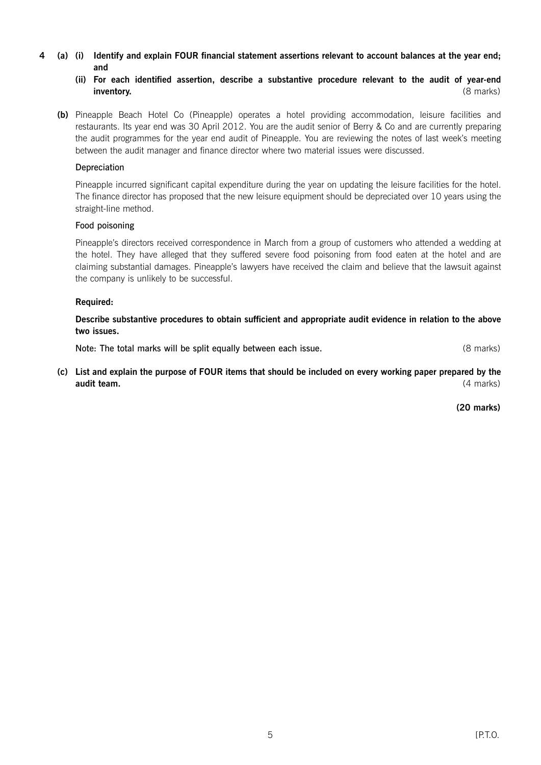- **4 (a) (i) Identify and explain FOUR financial statement assertions relevant to account balances at the year end; and** 
	- **(ii) For each identified assertion, describe a substantive procedure relevant to the audit of year-end inventory.** (8 marks)
	- **(b)** Pineapple Beach Hotel Co (Pineapple) operates a hotel providing accommodation, leisure facilities and restaurants. Its year end was 30 April 2012. You are the audit senior of Berry & Co and are currently preparing the audit programmes for the year end audit of Pineapple. You are reviewing the notes of last week's meeting between the audit manager and finance director where two material issues were discussed.

### Depreciation

Pineapple incurred significant capital expenditure during the year on updating the leisure facilities for the hotel. The finance director has proposed that the new leisure equipment should be depreciated over 10 years using the straight-line method.

#### Food poisoning

Pineapple's directors received correspondence in March from a group of customers who attended a wedding at the hotel. They have alleged that they suffered severe food poisoning from food eaten at the hotel and are claiming substantial damages. Pineapple's lawyers have received the claim and believe that the lawsuit against the company is unlikely to be successful.

#### **Required:**

**Describe substantive procedures to obtain sufficient and appropriate audit evidence in relation to the above two issues.**

Note: The total marks will be split equally between each issue. (8 marks) (8 marks)

**(c) List and explain the purpose of FOUR items that should be included on every working paper prepared by the audit team.** (4 marks)

# **(20 marks)**